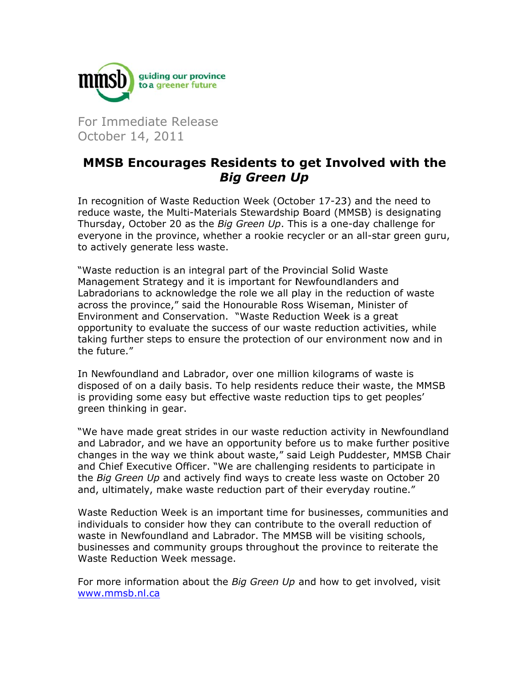

For Immediate Release October 14, 2011

## **MMSB Encourages Residents to get Involved with the Big Green Up**

In recognition of Waste Reduction Week (October 17-23) and the need to reduce waste, the Multi-Materials Stewardship Board (MMSB) is designating Thursday, October 20 as the Big Green Up. This is a one-day challenge for everyone in the province, whether a rookie recycler or an all-star green guru, to actively generate less waste.

"Waste reduction is an integral part of the Provincial Solid Waste Management Strategy and it is important for Newfoundlanders and Labradorians to acknowledge the role we all play in the reduction of waste across the province," said the Honourable Ross Wiseman, Minister of Environment and Conservation. "Waste Reduction Week is a great opportunity to evaluate the success of our waste reduction activities, while taking further steps to ensure the protection of our environment now and in the future."

In Newfoundland and Labrador, over one million kilograms of waste is disposed of on a daily basis. To help residents reduce their waste, the MMSB is providing some easy but effective waste reduction tips to get peoples' green thinking in gear.

"We have made great strides in our waste reduction activity in Newfoundland and Labrador, and we have an opportunity before us to make further positive changes in the way we think about waste," said Leigh Puddester, MMSB Chair and Chief Executive Officer. "We are challenging residents to participate in the *Big Green Up* and actively find ways to create less waste on October 20 and, ultimately, make waste reduction part of their everyday routine."

Waste Reduction Week is an important time for businesses, communities and individuals to consider how they can contribute to the overall reduction of waste in Newfoundland and Labrador. The MMSB will be visiting schools, businesses and community groups throughout the province to reiterate the Waste Reduction Week message.

For more information about the Big Green Up and how to get involved, visit www.mmsb.nl.ca